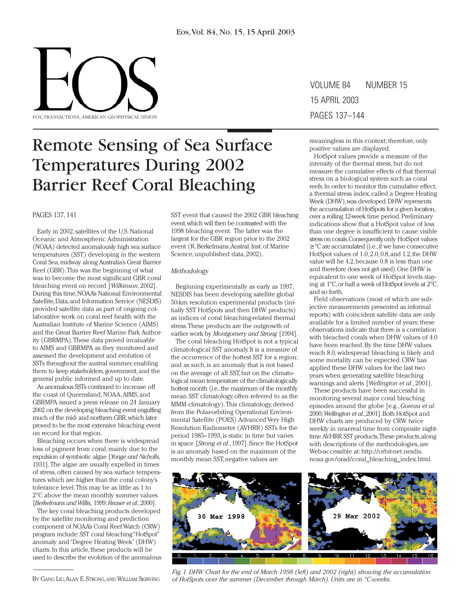

# Remote Sensing of Sea Surface Temperatures During 2002 Barrier Reef Coral Bleaching

# PAGES 137, 141

Early in 2002, satellites of the U.S. National Oceanic and Atmospheric Administration (NOAA) detected anomalously high sea surface temperatures (SST) developing in the western Coral Sea,midway along Australia's Great Barrier Reef (GBR).This was the beginning of what was to become the most significant GBR coral bleaching event on record [*Wilkinson*, 2002]. During this time,NOAA's National Environmental Satellite,Data,and Information Service (NESDIS) provided satellite data as part of ongoing collaborative work on coral reef health with the Australian Institute of Marine Science (AIMS) and the Great Barrier Reef Marine Park Authority (GBRMPA).These data proved invaluable to AIMS and GBRMPA as they monitored and assessed the development and evolution of SSTs throughout the austral summer, enabling them to keep stakeholders,government, and the general public informed and up to date.

As anomalous SSTs continued to increase off the coast of Queensland, NOAA,AIMS, and GBRMPA issued a press release on 24 January 2002 on the developing bleaching event engulfing much of the mid- and northern GBR,which later proved to be the most extensive bleaching event on record for that region.

Bleaching occurs when there is widespread loss of pigment from coral, mainly due to the expulsion of symbiotic algae [*Yonge and Nicholls*, 1931].The algae are usually expelled in times of stress, often caused by sea surface temperatures which are higher than the coral colony's tolerance level.This may be as little as 1 to 2°C above the mean monthly summer values [*Berkelmans and Willis,* 1999;*Reaser et al*.,2000].

The key coral bleaching products developed by the satellite monitoring and prediction component of NOAA's Coral Reef Watch (CRW) program include: SST coral bleaching "HotSpot" anomaly and "Degree Heating Week"(DHW) charts. In this article, these products will be used to describe the evolution of the anomalous

BY GANG LIU, ALAN E. STRONG, AND WILLIAM SKIRVING

SST event that caused the 2002 GBR bleaching event,which will then be contrasted with the 1998 bleaching event. The latter was the largest for the GBR region prior to the 2002 event (R.Berkelmans,Austral.Inst.of Marine Science, unpublished data, 2002).

## *Methodology*

Beginning experimentally as early as 1997, NESDIS has been developing satellite global 50-km resolution experimental products (initially SST HotSpots and then DHW products) as indices of coral bleaching-related thermal stress.These products are the outgrowth of earlier work by *Montgomery and Strong* [1994].

The coral bleaching HotSpot is not a typical climatological SST anomaly. It is a measure of the occurrence of the hottest SST for a region; and as such, is an anomaly that is not based on the average of all SST, but on the climatological mean temperature of the climatologically hottest month (i.e.,the maximum of the monthly mean SST climatology, often referred to as the MMM climatology).This climatology, derived from the Polar-orbiting Operational Environmental Satellite (POES) Advanced Very High Resolution Radiometer (AVHRR) SSTs for the period 1985–1993, is static in time but varies in space [*Strong et al*.,1997].Since the HotSpot is an anomaly based on the maximum of the monthly mean SST, negative values are

VOLUME 84 NUMBER 15 15 APRIL 2003 PAGES 137–144

meaningless in this context; therefore, only positive values are displayed.

HotSpot values provide a measure of the intensity of the thermal stress, but do not measure the cumulative effects of that thermal stress on a biological system such as coral reefs.In order to monitor this cumulative effect, a thermal stress index, called a Degree Heating Week (DHW),was developed.DHW represents the accumulation of HotSpots for a given location, over a rolling 12-week time period.Preliminary indications show that a HotSpot value of less than one degree is insufficient to cause visible stress on corals.Consequently,only HotSpot values ≥°C are accumulated (i.e.,if we have consecutive HotSpot values of 1.0,2.0,0.8,and 1.2,the DHW value will be 4.2,because 0.8 is less than one and therefore does not get used).One DHW is equivalent to one week of HotSpot levels staying at 1°C,or half a week of HotSpot levels at 2°C, and so forth.

Field observations (most of which are subjective measurements presented as informal reports) with coincident satellite data are only available for a limited number of years; these observations indicate that there is a correlation with bleached corals when DHW values of 4.0 have been reached.By the time DHW values reach 8.0, widespread bleaching is likely and some mortality can be expected.CRW has applied these DHW values for the last two years when generating satellite bleaching warnings and alerts [*Wellington et al*., 2001].

These products have been successful in monitoring several major coral bleaching episodes around the globe [e.g.,*Goreau et al*. 2000;*Wellington et al*.,2001].Both HotSpot and DHW charts are produced by CRW twice weekly in near-real time from composite nighttime AVHRR SST products.These products,along with descriptions of the methodologies, are Web-accessible at: http://orbit-net.nesdis. noaa.gov/orad/coral\_bleaching\_index.html.



*Fig.1.DHW Chart for the end of March 1998 (left) and 2002 (right) showing the accumulation of HotSpots over the summer (December through March).Units are in °C-weeks.*